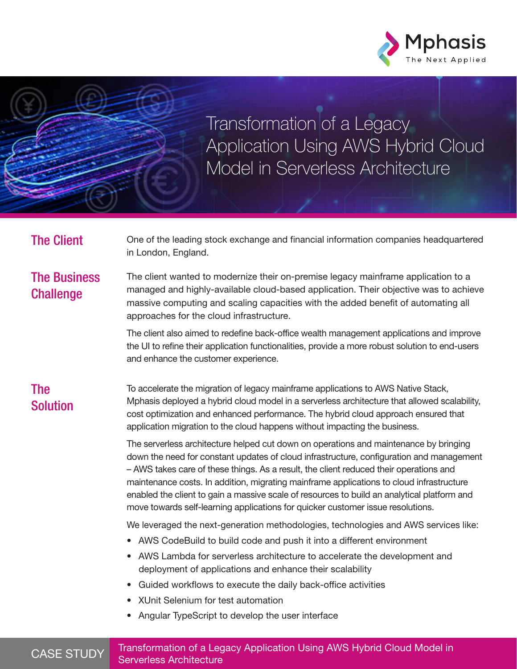

Transformation of a Legacy Application Using AWS Hybrid Cloud Model in Serverless Architecture

The Client Cone of the leading stock exchange and financial information companies headquartered in London, England.

# The Business **Challenge**

The client wanted to modernize their on-premise legacy mainframe application to a managed and highly-available cloud-based application. Their objective was to achieve massive computing and scaling capacities with the added benefit of automating all approaches for the cloud infrastructure.

The client also aimed to redefine back-office wealth management applications and improve the UI to refine their application functionalities, provide a more robust solution to end-users and enhance the customer experience.

# The Solution

To accelerate the migration of legacy mainframe applications to AWS Native Stack, Mphasis deployed a hybrid cloud model in a serverless architecture that allowed scalability, cost optimization and enhanced performance. The hybrid cloud approach ensured that application migration to the cloud happens without impacting the business.

The serverless architecture helped cut down on operations and maintenance by bringing down the need for constant updates of cloud infrastructure, configuration and management – AWS takes care of these things. As a result, the client reduced their operations and maintenance costs. In addition, migrating mainframe applications to cloud infrastructure enabled the client to gain a massive scale of resources to build an analytical platform and move towards self-learning applications for quicker customer issue resolutions.

We leveraged the next-generation methodologies, technologies and AWS services like:

- AWS CodeBuild to build code and push it into a different environment
- AWS Lambda for serverless architecture to accelerate the development and deployment of applications and enhance their scalability
- Guided workflows to execute the daily back-office activities
- XUnit Selenium for test automation
- Angular TypeScript to develop the user interface